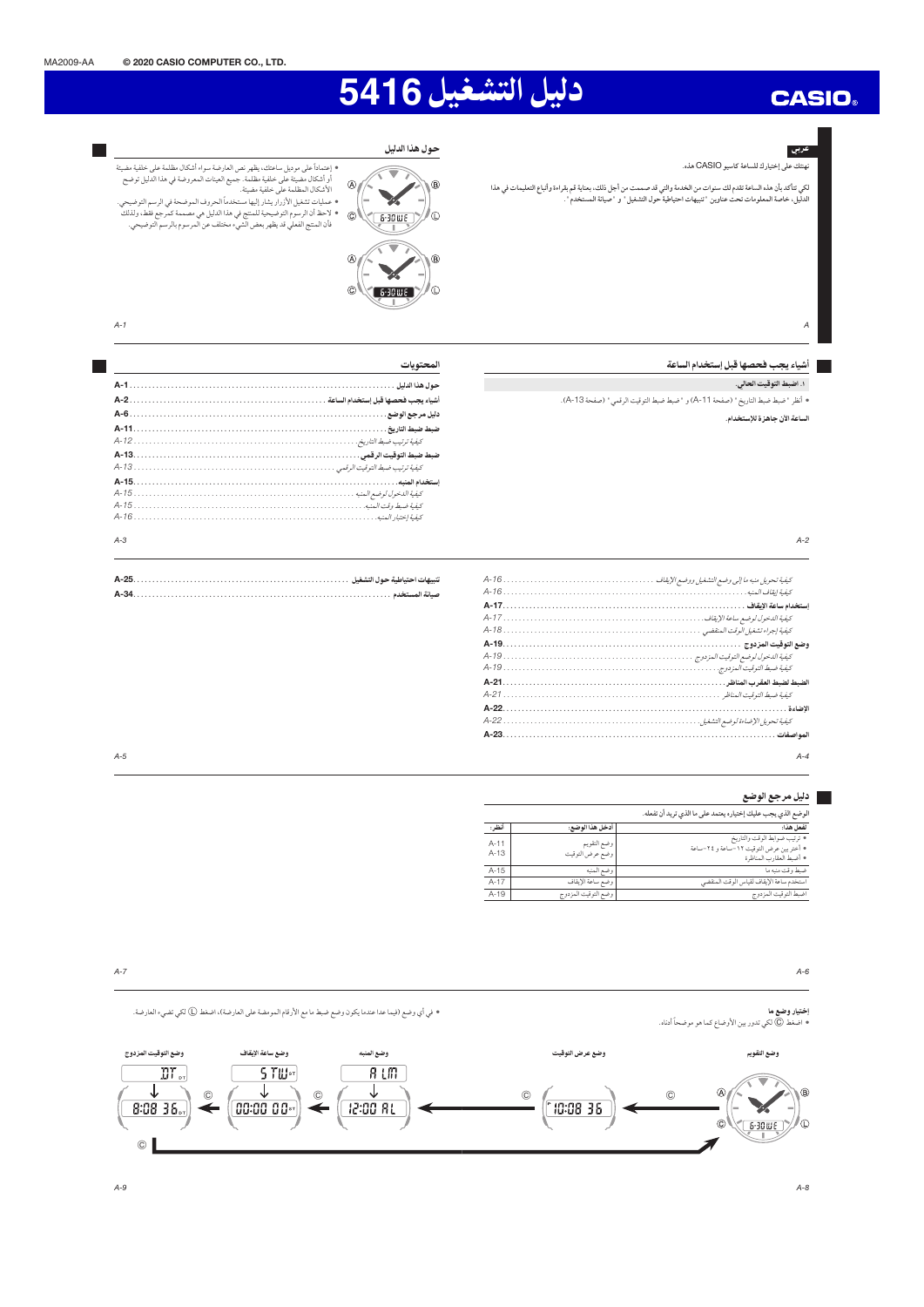# دليل التشغيل 5416

#### عربی

 $\overline{A}$ 

لكي تتأكد بأن هذه الساعة تقدم لك سنوات من الخدمة والتي قد صممت من أجل ذلك، بعناية قم بقراءة وأتباع التعليمات في هذا<br>الدليل، خاصة المعلومات تحت عناوين "تنبيهات احتياطية حول التشغيل " و "صيانة المستخدم ".

# • إعتماداً على موديل ساعتك، يظهر نص العارضة سواء أشكال مظلمة على خلفية مضيئة<br>أو أشكال مضيئة على خلفية مظلمة. جميع العينات المعروضة في هذا الدليل توضح<br>الأشكال المظلمة على خلفية مضيئة. اة سحان المصلمة على حديد مسيد.<br>• عمليات تشغيل الأزرار يشار إليها مستخدماً الحروف الموضحة في الرسم التوضيحي. - حمميات تسعين ، د زرار يسار إنبها مستحدما الحروب الموضحة في الرسم التوصيحي.<br>• لاحظ أن الرسوم التوضيحية للمنتج في هذا الدليل هي مصممة كمرجع فقط، ولذلك<br>• فأن المنتج الفعلي قد يظهر بعض الشيء مختلف عن المرسوم بالرسم التوضيحي



ضبط ضبط التوقيت الرقم*ي* . .

⊽ 

**ANS** 

 $\overline{A}$ 

 $\mathbb{C}$ 

حول هذا الدليل

 $\overline{B}$ 

ΙĐ

المحتويات

## $A-1$

 $A-3$ 

 $A-5$ 

**Talent** 

### المساء الشياء يجب فحصها قبل إستخدام الساعة

١. اضبط التوقيت الحالي.

• أنظر "ضبط ضبط التاريخ" (صفحة A-11) و "ضبط ضبط التوقيت الرقمي" (صفحة A-13).

.<br>الساعة الآن جاهزة للإستخدام.

| I |  |
|---|--|
|   |  |

| $A - A$ |
|---------|

## ■ دليل مرجع الوضع

| الوضع الذي يجب عليك إختياره يعتمد على ما الذي تريد أن تفعله.                                         |                                |                    |  |  |  |
|------------------------------------------------------------------------------------------------------|--------------------------------|--------------------|--|--|--|
| لفعل هذا:                                                                                            | أدخل هذا الوضع:                | أفظر:              |  |  |  |
| • ترتيب ضوابط الوقت والتاريخ<br>• أختر بين عرض التوقيت ١٢ -ساعة و ٢٤-ساعة<br>• أضبط العقارب المناظرة | وضع التقويم<br>وضع عرض التوقيت | $A - 11$<br>$A-13$ |  |  |  |
| ضبط وقت منبه ما                                                                                      | وضع المنبه                     | $A-15$             |  |  |  |
| استخدم ساعة الإيقاف لقياس الوقت المنقضى                                                              | وضع ساعة الإيقاف               | $A-17$             |  |  |  |
| اضبط التوقيت المزدوج                                                                                 | وضع التوقيت المزدوج            | $A-19$             |  |  |  |

#### $A-7$  $A-6$ • في أي وضع (فيما عدا عندما يكون وضع ضبط ما مع الأرقام المومضة على العارضة)، اضغط ① لكي تضيء العارضة. إختيار وضع ما • اضغط ۞ لكي تدور بين الأوضاع كما هو موضحاً أدناه. وضع ساعة الإيقاف وضع التوقيت المزدوج .<br>وضع المنبه وضع عرض التوقيت وضع التقويم  $\overline{\mathrm{BT}}_{\mathrm{or}}$ 5 TW<sub>st</sub>  $R$   $L$   $m$   $\overline{R}$ ↓ ↓ ↓  $\overline{a}$  $\overline{B}$  $\overline{c}$  $\widehat{c}$  $\odot$  $\widehat{c}$ 00:00 00\* 12:00 81 10:08 36 8:08 36.  $\circ \sqrt{6.30 \text{W}}$ Ιm  $^\copyright$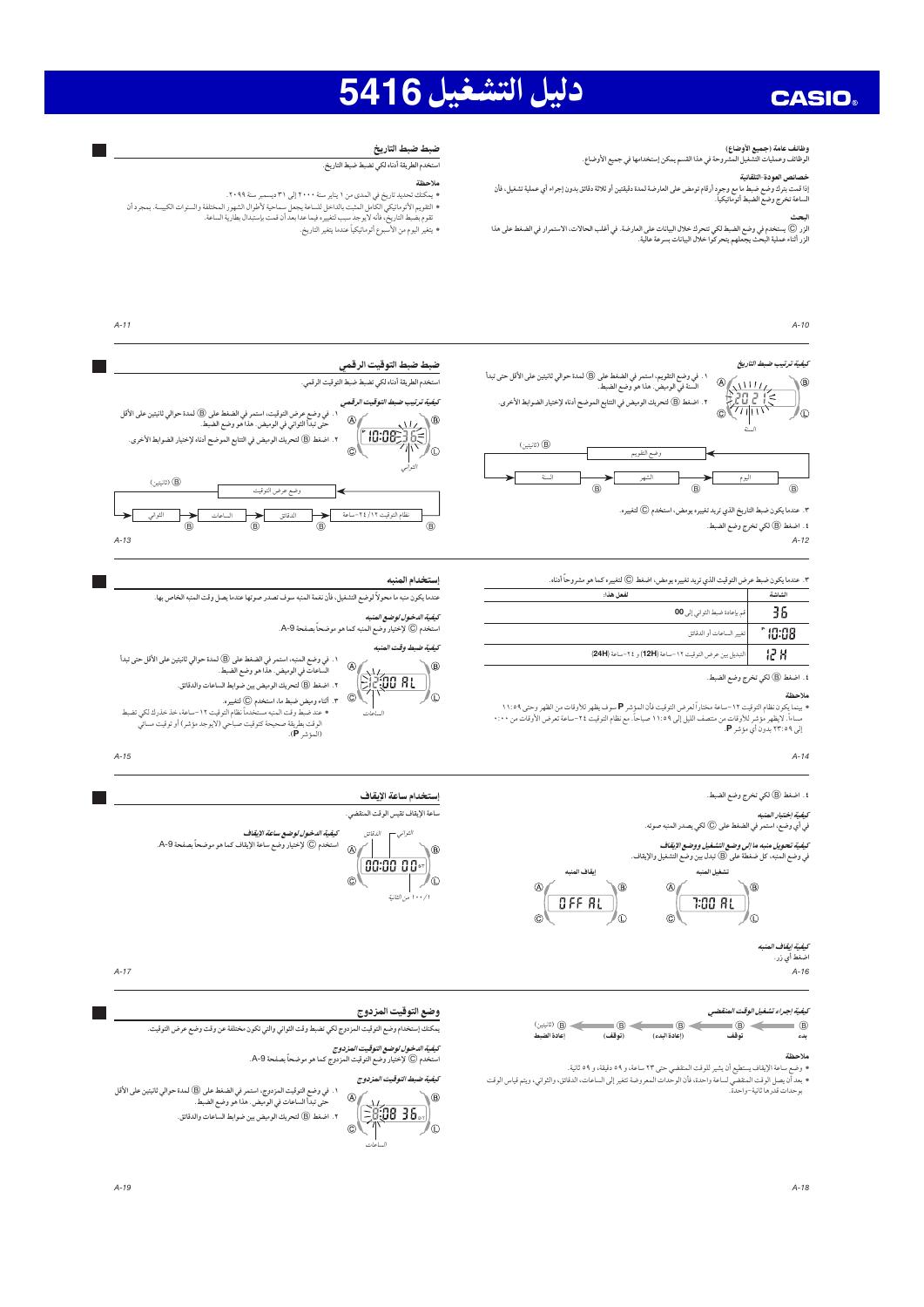# دليل التشغيل 5416

### وظائف عامة (جميع الأوضاع)

ر<br>الوظائف وعمليات التشغيل المشروحة في هذا القسم يمكن إستخدامها في جميع الأوضاع.

#### خصانص العودة-التلقانية

سمسعي ،سعوت ،سمعيه<br>إذا قمت بترك وضع ضبط ما مع وجود أرقام تومض على العارضة لمدة دقيقتين أو ثلاثة دقائق بدون إجراء أي عملية تشغيل، فأن<br>الساعة تخرج وضع الضبط أتوماتيكياً.

سمت<br>الزر (© يستخدم في وضع الضبط لكي تتحرك خلال البيانات على العارضة. في أغلب الحالات، الاستمرار في الضغط على هذا<br>الزر أثناء عملية البحث يجعلهم يتحركوا خلال البيانات بسرعة عالية.

## ضبط ضبط التاريخ

### 

#### ملاحظة

- ۰ يمكنك تحديد تاريخ في المدى من ١ يناير سنة ٢٠٠٠ إلى ٣١ ديسمبر سنة ٢٠٩٩.
- 
- التقويم الأتوماتيكي الكامل المثبت بالداخل للساعة يجعل سماحية لأطوال الشهور المختلفة والسنوات الكبيسة. بمجرد أن<br>تقوم بضبط التاريخ، فأنه لايوجد سبب لتغييره فيما عدا بعد أن قمت بإستبدال بطارية الساعة. - .<br>● يتغير اليوم من الأسبوع أتوماتيكياً عندما يتغير التاريخ.

 $A-10$ 

## كيفية ترتيب ضبط التاريخ



٣. عندما يكون ضبط التاريخ الذي تريد تغييره يومض، استخدم © لتغييره.

٤. اضغط (B) لكي تخرج وضع الضبط.

 $A-12$ 

 $\overline{R}$ 

٣. عندما يكون ضبط عرض التوقيت الذي تريد تغييره يومض، اضغط (@ لتغييره كما هو مشروحاً أدناه.

| الشاشة  | لفعا هذا:                                             |  |
|---------|-------------------------------------------------------|--|
| 36      | أقم بإعادة ضبط الثواني إلى 00                         |  |
| ° 10:08 | تغيبو الساعات أو الدقائق                              |  |
| 12 H    | التبديل بين عرض التوقيت ١٢-ساعة (12H) و ٢٤-ساعة (24H) |  |

٤. اضغط (B) لكي تخرج وضع الضبط.

#### ملاحظة

 $A-1A$ 

، اضغط (@ لكي تخرج وضع الضبط.

كيفية اختيار المنيه

## في أي وضع، استمر في الضغط على (@ لكي يصدر المنبه صوته.

كيفية تحويل منبه ما إلى وضع التشغيل ووضع الإيقاف 



كيفية إيقاف

اضغط أي زر.

 $A - 16$ 

#### كيفية إجراء تشغيل الوقت المنقضي

 $\bullet$   $\leftarrow$ (G) (ثانيتين)  $\Rightarrow$   $\bullet$  $\qquad \qquad \circledcirc$ ب<br>اعادة الضبط (توقف) توقف

#### ملاحظة



# 

كيفية الدخول لوضع التوقيت المزدوج صيبيبه ... سون سوست مر ... . .<br>استخدم © لإختيار وضع التوقيت المبزدوج كما هو موضحاً بصفحة A-9.



**Talent** 

# ضبط ضبط التوقيت الرقمي

استخدم الطريقة أدناه لكي تضبط ضبط التوقيت الرقمي.



#### إستخدام المنبه

⊾®

/⊕

.<br>عندما يكون منبه ما محولاً لوضع التشغيل، فأن نغمة المنبه سوف تصدر صوتها عندما يصل وقت المنبه الخاص بها.

ك*يفية الدخول لوضع العنبه*<br>استخدم © لإختيار وضع المنبه كما هو موضحاً بصفحة 9-A.

كيفية ضبط وقت المنبه



ه - ما - .<br>• عند ضبط وقت المعنيه مستخدماً نظام التوقيت ١٢ –ساعة، خذ خذرك لكي تضبط<br>الوقت بطريقة صحيحة كتوقيت صباحي (لايوجد مؤشر) أو توقيت مساني<br>(الموشر P).

 $A - 15$ 

## إستخدام ساعة الإيقاف

ساعة الإيقاف تقيس الوقت المنقضى.



a sa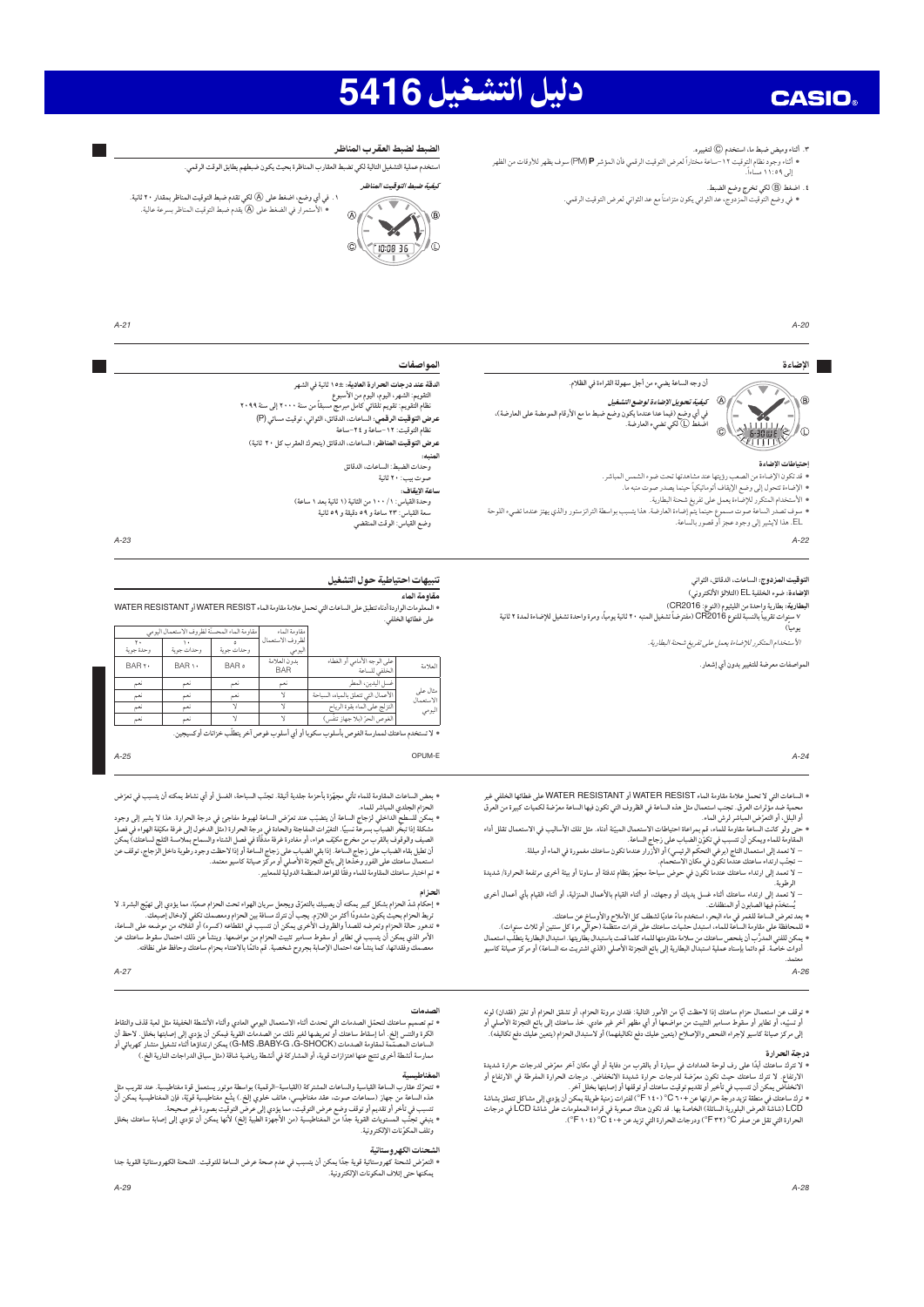# دليل التشغيل 5416

٣. أثناء وميض ضبط ما، استخدم (@ لتغييره.

.<br>٤. اضغط (@ لكي تخرج وضع الضبط.

• في وضع التوقيت المزدوج، عد الثواني يكون متزامناً مع عد الثواني لعرض التوقيت الرقمي.<br>• في وضع التوقيت المزدوج، عد الثواني يكون متزامناً مع عد الثواني لعرض التوقيت الرقمي.

#### الضبط لضبط العقرب المناظر .<br>استخدم عملية التشغيل التالية لكي تضبط العقارب المناظرة بحيث يكون ضبطهم يطابق الوقت الرقمي.

لتفتة ضيط التوقيت المناظر

الأستمرار في الضغط على (A) يقدم ضبط التوقيت المناظر بسرعة عالية.



المواصفات

المتنعب

١. في أي وضع، اضغط على (@ لكي تقدم ضبط التوقيت المناظر بمقدار ٢٠ ثانية.



 $A - 23$ 

 $A - 25$ 

**Ta** 

 $A-20$ 

#### الإضاءة



كي*فية تحويل الإضاءة لوضع التشغيل*<br>في أي وضع (فيما عدا عندما يكون وضع ضبط ما مع الأرقام المومضة على العارضة)،

أن وجه الساعة يضيء من أجل سهولة القراءة في الظلام.

اضْغطْ (@ لكي تضيء العارضة.

#### احتياطات الاضاءة

• قد تكون الإضاءة من الصعب و بتما عند مشاهدتما تحت ضوء الشمس المباشي. 

.<br>• الأستخدام المتكرر للإضاءة يعمل على تفريغ شحنة البطارية.

• سوف تصدر الساعة صوت مسموع حينما يتم إضاءة العارضة. هذا يتس<br>- EL. هذا لايشير إلى وجود عجز أو قصور بالساعة.

 $A-22$ 

#### .<br>الت**وقيت المز دوج:** الساعات، الدقائق، الثواني

.<br>الإضاءة: ضوء الخلفية EL (التلالؤ الألكتروني)

الأستخدام المتكرر للإضاءة يعمل على تفريغ شحنة البطارية.

المواصفات معرضة للتغيير بدون أي إشعار .

#### $A-2A$

• الساعات التي لا تحمل علامة مقاومة الماء WATER RESIST أو WATER RESISTANT على غطائها الخلفج محمية ضد مؤثرات العرق. تجنب استعمال مثل هذه الساعة في الظروف التي تكون فيها الساعة معرّضة لكميات كبيرة من العرق

حمى وبو مات است صدومه لعده ما هم مع الرسمان المساعت المسلحان المبينة انداء. من نفت اد منتيب بي اد س<br>المقاومة للماء ويمكن أن تتسبب في تكوّن الضباب على زجاج الساعة.<br>– تحتّب ارتداء ساعتك عندما تكون في مكان الاستحمام.

– لا تعمد إلى ارتداء ساعتك عندما تكون في حوض سباحة مجهّز بنظام تدفئة أو ساونا أو بيئة أخرى مرتفعة الحرارة/ شديدة

د رسد...<br>الرطوبة.<br>- لا تعمد إلى ارتداء ساعتك أثناء غسل يديك أو وجهك. أو أثناء القيام بالأعمال الممنزلية. أو أثناء القيام بأي أعمال أخرى

لا تعمد إلى ارتداء ساعتك اثناء غسل يديك او وجهت، او انناء الفيام باد عمان العمريه، او اساء النيام بي احمد، اسر<br>- يُستخدم و الساهة للعمر في المنظفات.<br>• بمد تعرض الساعة للعمر في ماء البيتر، استخدم ماءً عاديًا لشطف كل الأملا

معتمد.  $A-26$ 

» توقف عن استعمال حزام ساعتك إذا لاحظت أيًا من الأمور التالية: فقدان مرونة الحزام، أو تشقق الحزام أو تغيّر (فقدان) لونه<br>أو تسبّيه، أو تطاير أو سقوط مسامير التثبيت من مواضعها أو أي مظهر آخر غير عادي. خذ ساعتك إلى بانع التج

### درجة الحرارة

**درجة التحرارة**<br>• لا تفرق الساعد أبدًا على رف لوحة العدادات في سيارة أو بالقرب من دفاية أو أي مكان آخر معرّض لدرجات حرارة شديدة<br>الارتفاع. لا تعريف السعتك حيث تكون معرّضة لدرجات حرارة شديدة الانخفاض. درجات الحرارة المفرطة

OPUM-F

• بعض الساعات المقاومة للماء تأتي مجهِّزة بأحزمة جلدية أنيقة. تجنّب السباحة، الغسل أو أي نشاط يمكنه أن يتسبب في تعرّض الحزام الجلدي المباشر للماء.

ا احتزام البعلني العبائس للعامة.<br>- وانتزام العلمي العبائس للعامة.<br>- ويمكن للسطح الداخلي لزجاج الساعة أن يتغبّب عند تعزّمنى الساعة لهني وجهة الحرارة (طل الدخول إلى غرفة مكيّفة الهواء في فصل<br>- المصيف والوقوف بالقرب من مخرج

الحزام

۰ إحكام شدّ الحزام بشكل كبير بمكنه أن يصيبك بالتعرّق ويجعل سريان الهواء تحت الحزام صعبًا، مما يؤدي إلى تهيّج الشرة. لا<br>تربط الحزام بحيث يكون مشدودًا أكثر من اللازم. يجب أن تترك مسافة بين الحزام ومعصمك تكفي لإدخال إصبعك.

 $A-27$ 

#### لصدمات

ء تم تصميم ساعتك لتحمّل الصدمات التي تحدث أثناء الاستعمال اليومي العادي وأثناء الأشطة الخفيفة مثل لعبة قذف والتقاط<br>الكرة والتنس إلخ. أما إسقاط ساعتك أو تعريضها لغير ذلك من الصدمات القوية فبمكن أن يؤدي إلى إصابتها بخلل. لا ة لمقاومة الصدمات (G-SHOCK) G-SHOCK. يمكن ارتداؤها أثناء تشغيل منشار كهربائي أو ال أعات الي 

#### $\ldots$

وتلف المكوّنات الإلكترونية.

#### منات الكهر وستاتية

# سب بواسطة الترانزستور والذي يهتز عندما تضيء اللوحة

نظام التوقيت: ١٢-ساعة و ٢٤-ساعة

.<br>وحدات الضبط: الساعات، الدقائق

.<br>موت بيب: ۲۰ ثانية

 $65.307$   $30.7$ 

الدقة عند درجات الحرارة العادية: ±١٥ ثانية في الشهر

.<br>- وحدة القياس: ١ / ١٠٠ من الثانية (١ ثانية بعد ١ ساعة) س<br>سعة القياس: ٢٣ ساعة و ٥٩ دقيقة و ٥٩ ثانية<br>وضع القياس: الوقت المنقضي

عرض التوقيت المناظر: الساعات، الدقائق (يتحرك العقرب كل ٢٠ ثانية)

#### تنبيهات احتياطية حول التشغيل .<br>مقاومة الماء

ملومات الواردة أدناه تنطبق على الساعات التي تحمل علامة مقاومة الماء WATER RESIST أو WATER RESISTANT ه الت ر<br>على غطائها الخلفي.

| مقاومة الماء المحسنّة لظروف الاستعمال اليومي |            |            | مقاومة الماء               |                                              |                       |
|----------------------------------------------|------------|------------|----------------------------|----------------------------------------------|-----------------------|
| وحدة جوية                                    | وحدات جوية | وحدات جوبة | لظروف الاستعمال<br>اليومى  |                                              |                       |
| <b>BARY</b>                                  | BAR \ ·    | BAR o      | ىدون العلامة<br><b>BAR</b> | على الوجه الأمامي أو الغطاء<br>الخلفي للساعة | العلامة               |
| نعم                                          | نعم        | نعم        | نعم                        | غسل اليدين، المطر                            |                       |
| نعم                                          | نعم        | نعم        |                            | الأعمال التي تتعلق بالمياه، السباحة          | مثال على<br>الاستعمال |
| نعم                                          | ئعم        |            |                            | التزلج على الماء بقوة الرياح                 | اليومي                |
| نعم                                          | ئعم        |            |                            | الغوص الحرّ (بلا جهاز تنفّس)                 |                       |

• لا تستخدم ساعتك لممارسة الغوص بأسلوب سكوبا أو أي أسلوب غوص آخر يتطلّب خزانات أوكسيا